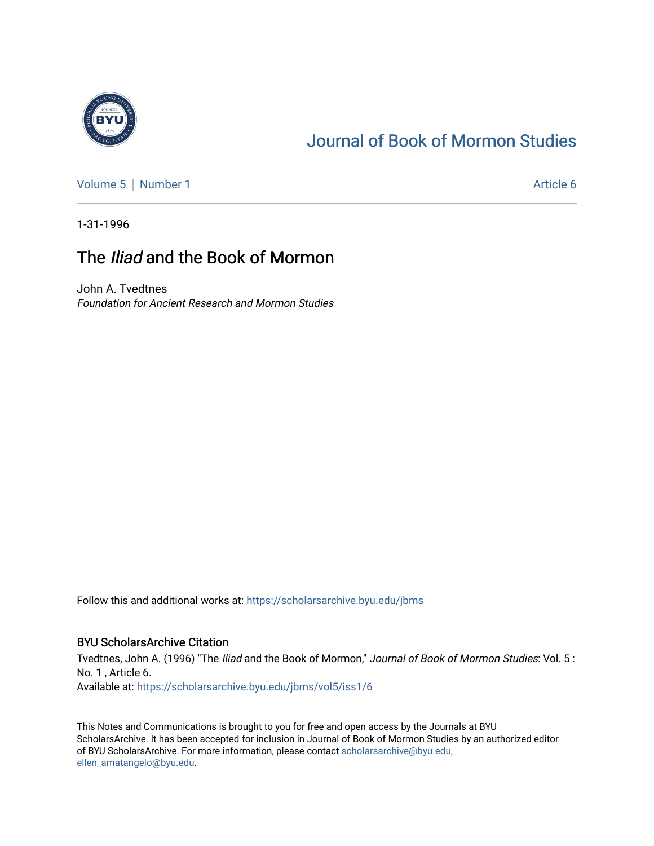

# [Journal of Book of Mormon Studies](https://scholarsarchive.byu.edu/jbms)

[Volume 5](https://scholarsarchive.byu.edu/jbms/vol5) | [Number 1](https://scholarsarchive.byu.edu/jbms/vol5/iss1) Article 6

1-31-1996

## The *Iliad* and the Book of Mormon

John A. Tvedtnes Foundation for Ancient Research and Mormon Studies

Follow this and additional works at: [https://scholarsarchive.byu.edu/jbms](https://scholarsarchive.byu.edu/jbms?utm_source=scholarsarchive.byu.edu%2Fjbms%2Fvol5%2Fiss1%2F6&utm_medium=PDF&utm_campaign=PDFCoverPages) 

## BYU ScholarsArchive Citation

Tvedtnes, John A. (1996) "The Iliad and the Book of Mormon," Journal of Book of Mormon Studies: Vol. 5 : No. 1 , Article 6. Available at: [https://scholarsarchive.byu.edu/jbms/vol5/iss1/6](https://scholarsarchive.byu.edu/jbms/vol5/iss1/6?utm_source=scholarsarchive.byu.edu%2Fjbms%2Fvol5%2Fiss1%2F6&utm_medium=PDF&utm_campaign=PDFCoverPages) 

This Notes and Communications is brought to you for free and open access by the Journals at BYU ScholarsArchive. It has been accepted for inclusion in Journal of Book of Mormon Studies by an authorized editor of BYU ScholarsArchive. For more information, please contact [scholarsarchive@byu.edu,](mailto:scholarsarchive@byu.edu,%20ellen_amatangelo@byu.edu) [ellen\\_amatangelo@byu.edu](mailto:scholarsarchive@byu.edu,%20ellen_amatangelo@byu.edu).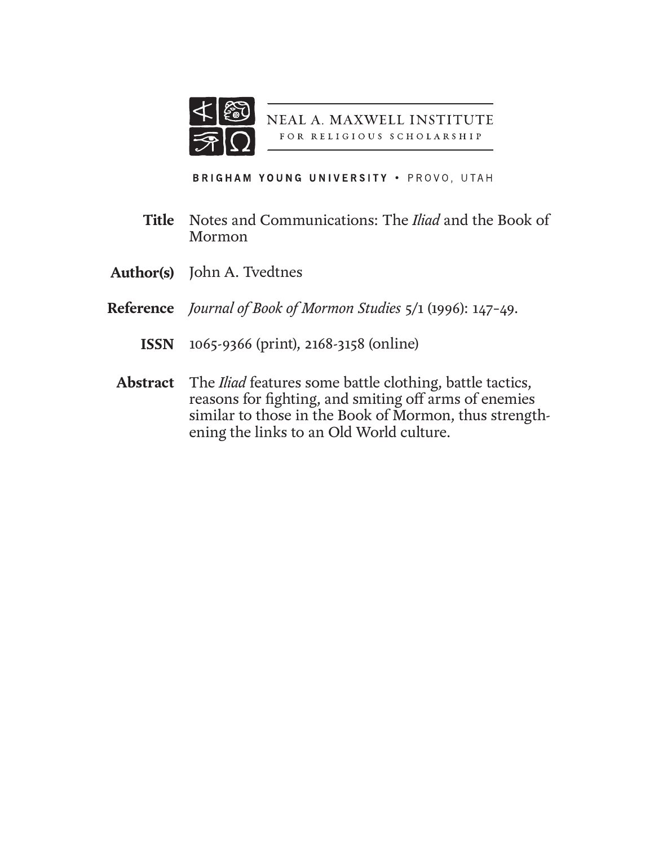

NEAL A. MAXWELL INSTITUTE FOR RELIGIOUS SCHOLARSHIP

BRIGHAM YOUNG UNIVERSITY . PROVO, UTAH

- Notes and Communications: The *Iliad* and the Book of Mormon **Title**
- **Author(s)** John A. Tvedtnes
- *Journal of Book of Mormon Studies* 5/1 (1996): 147–49. **Reference**
	- 1065-9366 (print), 2168-3158 (online) **ISSN**
	- The *Iliad* features some battle clothing, battle tactics, **Abstract**reasons for fighting, and smiting off arms of enemies similar to those in the Book of Mormon, thus strengthening the links to an Old World culture.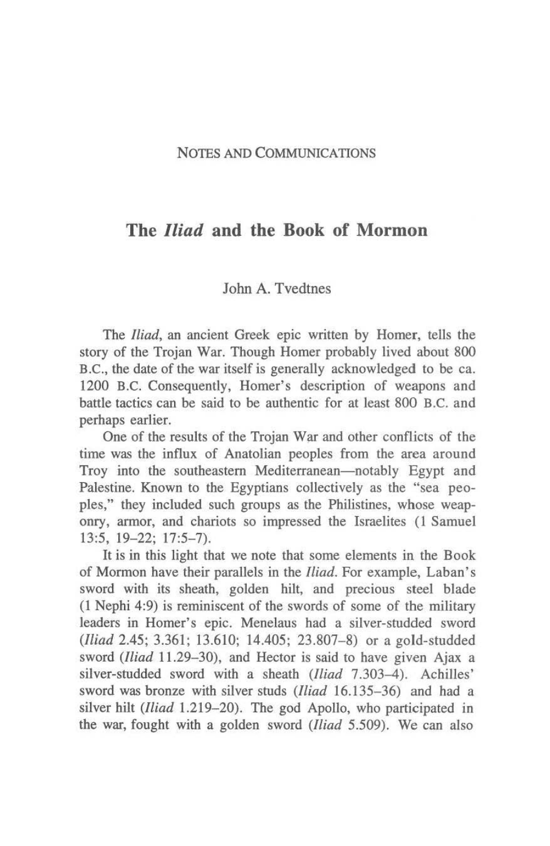#### NOTES AND COMMUNICATIONS

## The *Iliad* and the Book of Mormon

### John A. Tvedtnes

The *Iliad*, an ancient Greek epic written by Homer, tells the story of the Trojan War. Though Homer probably lived about 800 B.C., the date of the war itself is generally acknowledged to be ca. 1200 B.C. Consequently, Homer's description of weapons and battle tactics can be said to be authentic for at least 800 B.C. and perhaps earlier.

One of the results of the Trojan War and other conflicts of the time was the influx of Anatolian peoples from the area around Troy into the southeastern Mediterranean—notably Egypt and Palestine. Known to the Egyptians collectively as the "sea peoples," they included such groups as the Philistines, whose weaponry, annor, and chariots so impressed the Israelites (1 Samuel 13:5. 19-22; 17:5-7).

It is in this light that we note that some elements in the Book of Monnon have their parallels in the *Iliad.* For example, Laban's sword with its sheath, golden hilt, and precious steel blade (l Nephi 4:9) is reminiscent of the swords of some of the military leaders in Homer's epic. Menelaus had a silver-studded sword *(Iliad* 2.45; 3.361; 13.610; 14.405; 23.807-8) or a gold-studded sword *(Iliad* 11.29-30), and Hector is said to have given Ajax a silver-studded sword with a sheath *(Iliad* 7.303-4). Achilles' sword was bronze with silver studs *(Iliad* 16.135-36) and had a silver hilt *(Iliad 1.219-20)*. The god Apollo, who participated in the war, fought with a golden sword *(Iliad* 5.509). We can also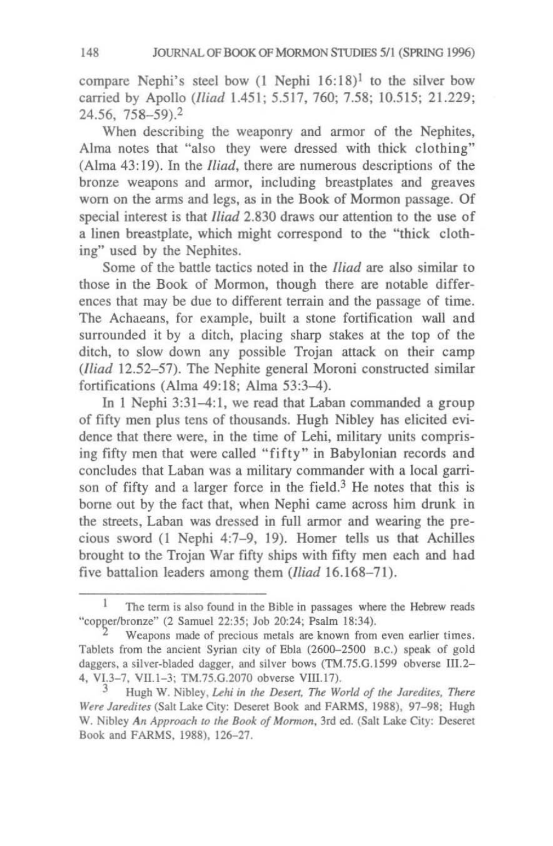compare Nephi's steel bow  $(1 \text{ Nephi } 16:18)^1$  to the silver bow carr;ed by Apollo *(Iliad* 1.451; 5.517. 760; 7.58; 10.515; 21.229; 24.56, 758-59).<sup>2</sup>

When describing the weaponry and armor of the Nephites, Alma notes that "also they were dressed with thick clothing" (Alma 43: 19). In the *Iliad,* there are numerous descriptions of the bronze weapons and annor, including breastplates and greaves worn on the arms and legs, as in the Book of Mormon passage. Of special interest is that *Iliad* 2.830 draws our attention to the use of a linen breastplate, which might correspond to the "thick clothing" used by the Nephites.

Some of the battle tactics noted in the *Iliad* are also similar to those in the Book of Mormon, though there are notable differences that may be due to different terrain and the passage of time. The Achaeans, for example, built a stone fortification wall and surrounded it by a ditch, placing sharp stakes at the top of the ditch, to slow down any possible Trojan attack on their camp *(Iliad* 12.52-57). The Nephite general Moroni constructed similar fortifications (Alma 49:18; Alma 53:3-4).

In 1 Nephi 3:31-4:1. we read that Laban commanded a group of fifty men plus tens of thousands. Hugh Nibley has elicited evidence that there were, in the time of Lehi, military units comprising fifty men that were called "fifty" in Babylonian records and concludes that Laban was a military commander with a local garrison of fifty and a larger force in the field.<sup>3</sup> He notes that this is borne out by the fact that, when Nephi came across him drunk in the streets, Laban was dressed in full armor and wearing the precious sword (I Nephi 4:7-9, 19). Homer tells us that Achilles brought to the Trojan War fifty ships with fifty men each and bad five battalion leaders among them *(Iliad 16.168-71)*.

The term is also found in the Bible in passages where the Hebrew reads "copper/bronze" (2 Samuel 22:35; Job 20:24; Psalm 18:34).

Weapons made of precious metals are known from even earlier times. Tablets from the ancient Syrian city of Ebla (2600-2500 B.C.) speak of gold daggers. a silver-bladed dagger, and silver bows (TM.75.G.1599 obverse 111.2- 4, VI.3-7. VIl.I-3; TM.75.G.2070 obverse VIII.l7).

Hugh W. Nibley, *Lehi in the Desert, The World of the Jaredites, There* Were Jaredites (Salt Lake City: Deseret Book and FARMS, 1988), 97-98; Hugh W. Nibley An Approach to the Book of Mormon, 3rd ed. (Salt Lake City: Deseret Book and FARMS, 1988), 126-27.